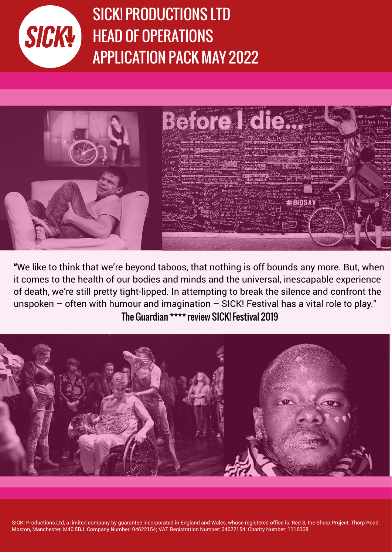

Executive Director Job Package Director Job Package Director Job Package Director Job Package Director Job Pac<br>2001 - Director Job Package Director Job Package Director Job Package Director Job Package Director Job Packag April 2021 APPLICATION PACK MAY 2022 SICK! PRODUCTIONS LTD HEAD OF OPERATIONS



"We like to think that we're beyond taboos, that nothing is off bounds any more. But, when it comes to the health of our bodies and minds and the universal, inescapable experience of death, we're still pretty tight-lipped. In attempting to break the silence and confront the unspoken – often with humour and imagination – SICK! Festival has a vital role to play." The Guardian \*\*\*\* review SICK! Festival 2019



SICK! Productions Ltd, a limited company by quarantee incorporated in England and Wales, whose registered office is: Red 3, the Sharp Project, Thorp Road, Moston, Manchester, M40 5BJ. Company Number: 04622154; VAT Registration Number: 04622154; Charity Number: 1116008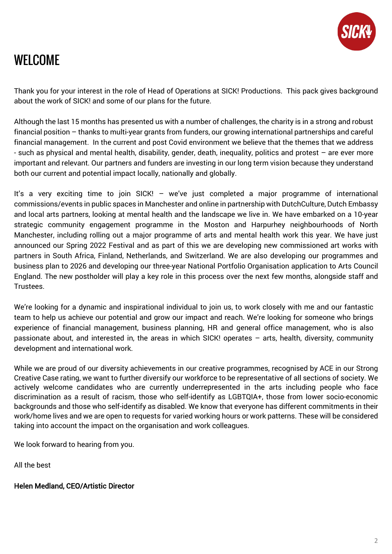

# WELCOME

Thank you for your interest in the role of Head of Operations at SICK! Productions. This pack gives background about the work of SICK! and some of our plans for the future.

Although the last 15 months has presented us with a number of challenges, the charity is in a strong and robust financial position – thanks to multi-year grants from funders, our growing international partnerships and careful financial management. In the current and post Covid environment we believe that the themes that we address - such as physical and mental health, disability, gender, death, inequality, politics and protest – are ever more important and relevant. Our partners and funders are investing in our long term vision because they understand both our current and potential impact locally, nationally and globally.

It's a very exciting time to join SICK! - we've just completed a major programme of international commissions/events in public spaces in Manchester and online in partnership with DutchCulture, Dutch Embassy and local arts partners, looking at mental health and the landscape we live in. We have embarked on a 10-year strategic community engagement programme in the Moston and Harpurhey neighbourhoods of North Manchester, including rolling out a major programme of arts and mental health work this year. We have just announced our Spring 2022 Festival and as part of this we are developing new commissioned art works with partners in South Africa, Finland, Netherlands, and Switzerland. We are also developing our programmes and business plan to 2026 and developing our three-year National Portfolio Organisation application to Arts Council England. The new postholder will play a key role in this process over the next few months, alongside staff and Trustees.

We're looking for a dynamic and inspirational individual to join us, to work closely with me and our fantastic team to help us achieve our potential and grow our impact and reach. We're looking for someone who brings experience of financial management, business planning, HR and general office management, who is also passionate about, and interested in, the areas in which SICK! operates – arts, health, diversity, community development and international work.

While we are proud of our diversity achievements in our creative programmes, recognised by ACE in our Strong Creative Case rating, we want to further diversify our workforce to be representative of all sections of society. We actively welcome candidates who are currently underrepresented in the arts including people who face discrimination as a result of racism, those who self-identify as LGBTQIA+, those from lower socio-economic backgrounds and those who self-identify as disabled. We know that everyone has different commitments in their work/home lives and we are open to requests for varied working hours or work patterns. These will be considered taking into account the impact on the organisation and work colleagues.

We look forward to hearing from you.

All the best

Helen Medland, CEO/Artistic Director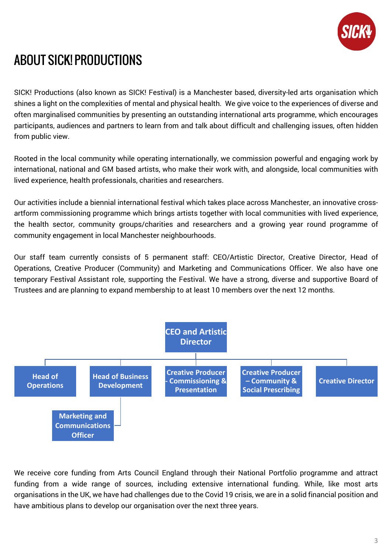

# ABOUT SICK! PRODUCTIONS

SICK! Productions (also known as SICK! Festival) is a Manchester based, diversity-led arts organisation which shines a light on the complexities of mental and physical health. We give voice to the experiences of diverse and often marginalised communities by presenting an outstanding international arts programme, which encourages participants, audiences and partners to learn from and talk about difficult and challenging issues, often hidden from public view.

Rooted in the local community while operating internationally, we commission powerful and engaging work by international, national and GM based artists, who make their work with, and alongside, local communities with lived experience, health professionals, charities and researchers.

Our activities include a biennial international festival which takes place across Manchester, an innovative crossartform commissioning programme which brings artists together with local communities with lived experience, the health sector, community groups/charities and researchers and a growing year round programme of community engagement in local Manchester neighbourhoods.

Our staff team currently consists of 5 permanent staff: CEO/Artistic Director, Creative Director, Head of Operations, Creative Producer (Community) and Marketing and Communications Officer. We also have one temporary Festival Assistant role, supporting the Festival. We have a strong, diverse and supportive Board of Trustees and are planning to expand membership to at least 10 members over the next 12 months.



We receive core funding from Arts Council England through their National Portfolio programme and attract funding from a wide range of sources, including extensive international funding. While, like most arts organisations in the UK, we have had challenges due to the Covid 19 crisis, we are in a solid financial position and have ambitious plans to develop our organisation over the next three years.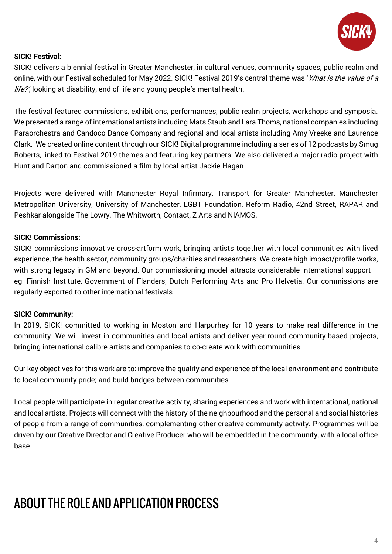

# SICK! Festival:

SICK! delivers a biennial festival in Greater Manchester, in cultural venues, community spaces, public realm and online, with our Festival scheduled for May 2022. SICK! Festival 2019's central theme was 'What is the value of a life?', looking at disability, end of life and young people's mental health.

The festival featured commissions, exhibitions, performances, public realm projects, workshops and symposia. We presented a range of international artists including Mats Staub and Lara Thoms, national companies including Paraorchestra and Candoco Dance Company and regional and local artists including Amy Vreeke and Laurence Clark. We created online content through our SICK! Digital programme including a series of 12 podcasts by Smug Roberts, linked to Festival 2019 themes and featuring key partners. We also delivered a major radio project with Hunt and Darton and commissioned a film by local artist Jackie Hagan.

Projects were delivered with Manchester Royal Infirmary, Transport for Greater Manchester, Manchester Metropolitan University, University of Manchester, LGBT Foundation, Reform Radio, 42nd Street, RAPAR and Peshkar alongside The Lowry, The Whitworth, Contact, Z Arts and NIAMOS,

# SICK! Commissions:

SICK! commissions innovative cross-artform work, bringing artists together with local communities with lived experience, the health sector, community groups/charities and researchers. We create high impact/profile works, with strong legacy in GM and beyond. Our commissioning model attracts considerable international support – eg. Finnish Institute, Government of Flanders, Dutch Performing Arts and Pro Helvetia. Our commissions are regularly exported to other international festivals.

### SICK! Community:

In 2019, SICK! committed to working in Moston and Harpurhey for 10 years to make real difference in the community. We will invest in communities and local artists and deliver year-round community-based projects, bringing international calibre artists and companies to co-create work with communities.

Our key objectives for this work are to: improve the quality and experience of the local environment and contribute to local community pride; and build bridges between communities.

Local people will participate in regular creative activity, sharing experiences and work with international, national and local artists. Projects will connect with the history of the neighbourhood and the personal and social histories of people from a range of communities, complementing other creative community activity. Programmes will be driven by our Creative Director and Creative Producer who will be embedded in the community, with a local office base.

# ABOUT THE ROLE AND APPLICATION PROCESS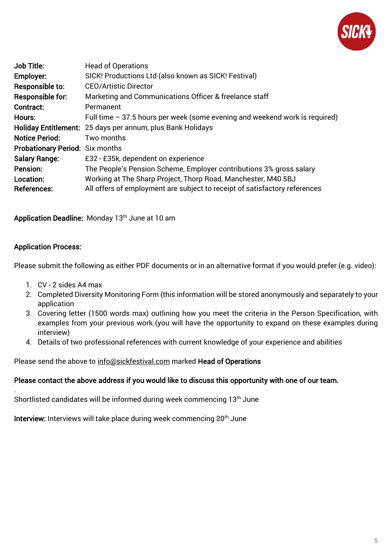

| Job Title:                      | <b>Head of Operations</b>                                                   |
|---------------------------------|-----------------------------------------------------------------------------|
| Employer:                       | SICK! Productions Ltd (also known as SICK! Festival)                        |
| Responsible to:                 | <b>CEO/Artistic Director</b>                                                |
| <b>Responsible for:</b>         | Marketing and Communications Officer & freelance staff                      |
| Contract:                       | Permanent                                                                   |
| Hours:                          | Full time – 37.5 hours per week (some evening and weekend work is required) |
|                                 | Holiday Entitlement: 25 days per annum, plus Bank Holidays                  |
| <b>Notice Period:</b>           | Two months                                                                  |
| Probationary Period: Six months |                                                                             |
| <b>Salary Range:</b>            | £32 - £35k, dependent on experience                                         |
| Pension:                        | The People's Pension Scheme, Employer contributions 3% gross salary         |
| Location:                       | Working at The Sharp Project, Thorp Road, Manchester, M40 5BJ               |
| <b>References:</b>              | All offers of employment are subject to receipt of satisfactory references  |

Application Deadline: Monday 13<sup>th</sup> June at 10 am

#### Application Process:

.

Please submit the following as either PDF documents or in an alternative format if you would prefer (e.g. video):

- 1. CV 2 sides A4 max
- 2. Completed Diversity Monitoring Form (this information will be stored anonymously and separately to your application
- 3. Covering letter (1500 words max) outlining how you meet the criteria in the Person Specification, with examples from your previous work (you will have the opportunity to expand on these examples during interview)
- 4. Details of two professional references with current knowledge of your experience and abilities

Please send the above to [info@sickfestival.com](mailto:info@sickfestival.com) marked Head of Operations

#### Please contact the above address if you would like to discuss this opportunity with one of our team.

Shortlisted candidates will be informed during week commencing 13th June

Interview: Interviews will take place during week commencing 20<sup>th</sup> June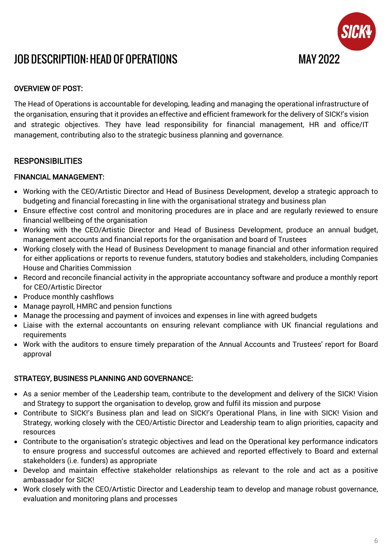

# JOB DESCRIPTION: HEAD OF OPERATIONS MAY 2022

# OVERVIEW OF POST:

The Head of Operations is accountable for developing, leading and managing the operational infrastructure of the organisation, ensuring that it provides an effective and efficient framework for the delivery of SICK!'s vision and strategic objectives. They have lead responsibility for financial management, HR and office/IT management, contributing also to the strategic business planning and governance.

### **RESPONSIBILITIES**

#### FINANCIAL MANAGEMENT:

- Working with the CEO/Artistic Director and Head of Business Development, develop a strategic approach to budgeting and financial forecasting in line with the organisational strategy and business plan
- Ensure effective cost control and monitoring procedures are in place and are regularly reviewed to ensure financial wellbeing of the organisation
- Working with the CEO/Artistic Director and Head of Business Development, produce an annual budget, management accounts and financial reports for the organisation and board of Trustees
- Working closely with the Head of Business Development to manage financial and other information required for either applications or reports to revenue funders, statutory bodies and stakeholders, including Companies House and Charities Commission
- Record and reconcile financial activity in the appropriate accountancy software and produce a monthly report for CEO/Artistic Director
- Produce monthly cashflows
- Manage payroll, HMRC and pension functions
- Manage the processing and payment of invoices and expenses in line with agreed budgets
- Liaise with the external accountants on ensuring relevant compliance with UK financial regulations and requirements
- Work with the auditors to ensure timely preparation of the Annual Accounts and Trustees' report for Board approval

#### STRATEGY, BUSINESS PLANNING AND GOVERNANCE:

- As a senior member of the Leadership team, contribute to the development and delivery of the SICK! Vision and Strategy to support the organisation to develop, grow and fulfil its mission and purpose
- Contribute to SICK!'s Business plan and lead on SICK!'s Operational Plans, in line with SICK! Vision and Strategy, working closely with the CEO/Artistic Director and Leadership team to align priorities, capacity and resources
- Contribute to the organisation's strategic objectives and lead on the Operational key performance indicators to ensure progress and successful outcomes are achieved and reported effectively to Board and external stakeholders (i.e. funders) as appropriate
- Develop and maintain effective stakeholder relationships as relevant to the role and act as a positive ambassador for SICK!
- Work closely with the CEO/Artistic Director and Leadership team to develop and manage robust governance, evaluation and monitoring plans and processes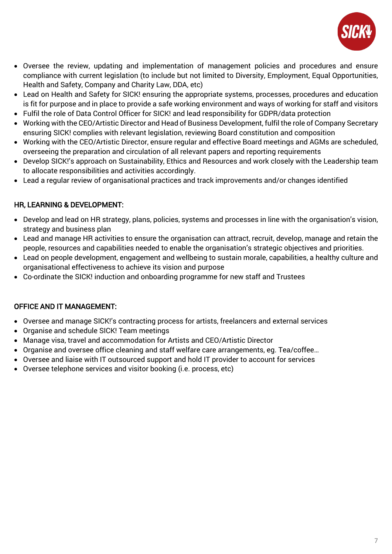

- Oversee the review, updating and implementation of management policies and procedures and ensure compliance with current legislation (to include but not limited to Diversity, Employment, Equal Opportunities, Health and Safety, Company and Charity Law, DDA, etc)
- Lead on Health and Safety for SICK! ensuring the appropriate systems, processes, procedures and education is fit for purpose and in place to provide a safe working environment and ways of working for staff and visitors
- Fulfil the role of Data Control Officer for SICK! and lead responsibility for GDPR/data protection
- Working with the CEO/Artistic Director and Head of Business Development, fulfil the role of Company Secretary ensuring SICK! complies with relevant legislation, reviewing Board constitution and composition
- Working with the CEO/Artistic Director, ensure regular and effective Board meetings and AGMs are scheduled, overseeing the preparation and circulation of all relevant papers and reporting requirements
- Develop SICK!'s approach on Sustainability, Ethics and Resources and work closely with the Leadership team to allocate responsibilities and activities accordingly.
- Lead a regular review of organisational practices and track improvements and/or changes identified

# HR, LEARNING & DEVELOPMENT:

- Develop and lead on HR strategy, plans, policies, systems and processes in line with the organisation's vision, strategy and business plan
- Lead and manage HR activities to ensure the organisation can attract, recruit, develop, manage and retain the people, resources and capabilities needed to enable the organisation's strategic objectives and priorities.
- Lead on people development, engagement and wellbeing to sustain morale, capabilities, a healthy culture and organisational effectiveness to achieve its vision and purpose
- Co-ordinate the SICK! induction and onboarding programme for new staff and Trustees

### OFFICE AND IT MANAGEMENT:

- Oversee and manage SICK!'s contracting process for artists, freelancers and external services
- Organise and schedule SICK! Team meetings
- Manage visa, travel and accommodation for Artists and CEO/Artistic Director
- Organise and oversee office cleaning and staff welfare care arrangements, eg. Tea/coffee…
- Oversee and liaise with IT outsourced support and hold IT provider to account for services
- Oversee telephone services and visitor booking (i.e. process, etc)